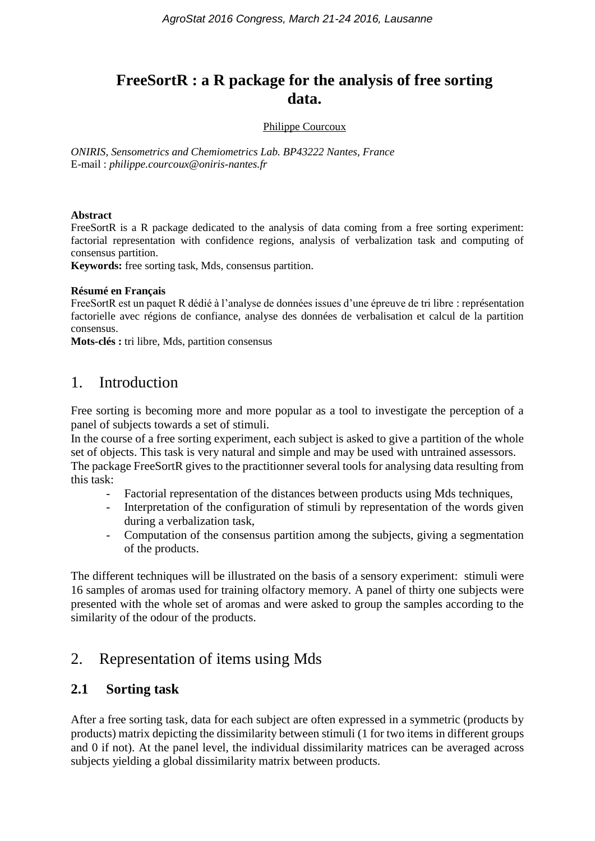# **FreeSortR : a R package for the analysis of free sorting data.**

#### Philippe Courcoux

*ONIRIS, Sensometrics and Chemiometrics Lab. BP43222 Nantes, France* E-mail : *philippe.courcoux@oniris-nantes.fr*

#### **Abstract**

FreeSortR is a R package dedicated to the analysis of data coming from a free sorting experiment: factorial representation with confidence regions, analysis of verbalization task and computing of consensus partition.

**Keywords:** free sorting task, Mds, consensus partition.

#### **Résumé en Français**

FreeSortR est un paquet R dédié à l'analyse de données issues d'une épreuve de tri libre : représentation factorielle avec régions de confiance, analyse des données de verbalisation et calcul de la partition consensus.

**Mots-clés :** tri libre, Mds, partition consensus

### 1. Introduction

Free sorting is becoming more and more popular as a tool to investigate the perception of a panel of subjects towards a set of stimuli.

In the course of a free sorting experiment, each subject is asked to give a partition of the whole set of objects. This task is very natural and simple and may be used with untrained assessors. The package FreeSortR gives to the practitionner several tools for analysing data resulting from this task:

- Factorial representation of the distances between products using Mds techniques,
- Interpretation of the configuration of stimuli by representation of the words given during a verbalization task,
- Computation of the consensus partition among the subjects, giving a segmentation of the products.

The different techniques will be illustrated on the basis of a sensory experiment: stimuli were 16 samples of aromas used for training olfactory memory. A panel of thirty one subjects were presented with the whole set of aromas and were asked to group the samples according to the similarity of the odour of the products.

## 2. Representation of items using Mds

### **2.1 Sorting task**

After a free sorting task, data for each subject are often expressed in a symmetric (products by products) matrix depicting the dissimilarity between stimuli (1 for two items in different groups and 0 if not). At the panel level, the individual dissimilarity matrices can be averaged across subjects yielding a global dissimilarity matrix between products.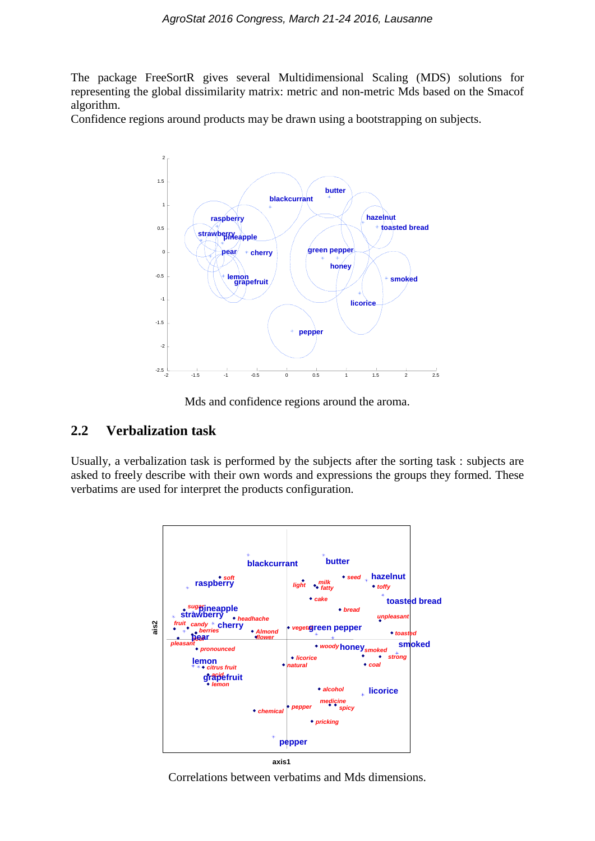The package FreeSortR gives several Multidimensional Scaling (MDS) solutions for representing the global dissimilarity matrix: metric and non-metric Mds based on the Smacof algorithm.

Confidence regions around products may be drawn using a bootstrapping on subjects.



Mds and confidence regions around the aroma.

#### **2.2 Verbalization task**

Usually, a verbalization task is performed by the subjects after the sorting task : subjects are asked to freely describe with their own words and expressions the groups they formed. These verbatims are used for interpret the products configuration.



Correlations between verbatims and Mds dimensions.